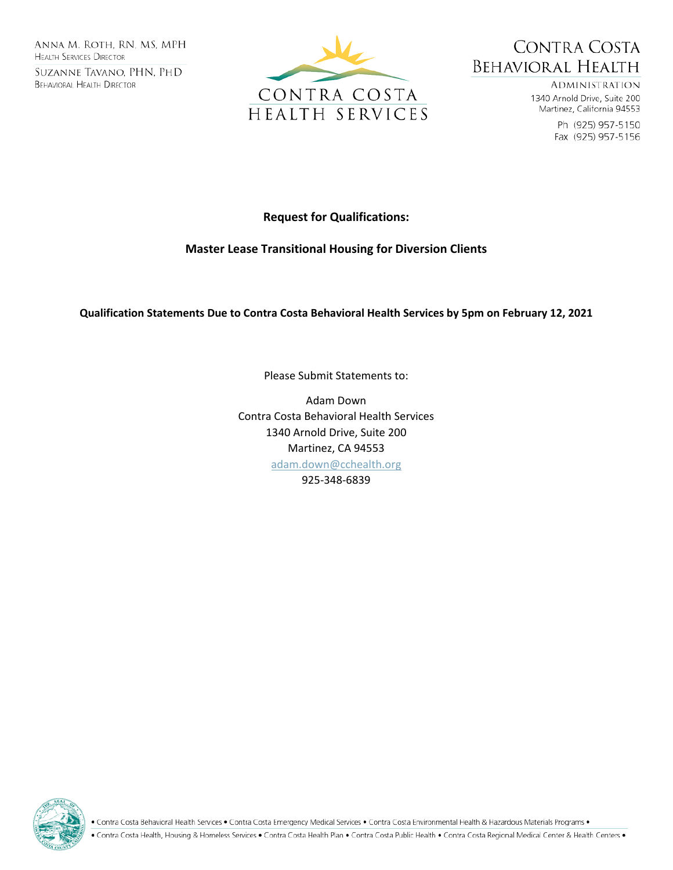ANNA M. ROTH, RN, MS, MPH **HEALTH SERVICES DIRECTOR** SUZANNE TAVANO, PHN, PHD **BEHAVIORAL HEALTH DIRECTOR** 





**ADMINISTRATION** 1340 Arnold Drive, Suite 200 Martinez, California 94553

> Ph (925) 957-5150 Fax (925) 957-5156

# **Request for Qualifications:**

## **Master Lease Transitional Housing for Diversion Clients**

**Qualification Statements Due to Contra Costa Behavioral Health Services by 5pm on February 12, 2021**

Please Submit Statements to:

Adam Down Contra Costa Behavioral Health Services 1340 Arnold Drive, Suite 200 Martinez, CA 94553 [adam.down@cchealth.org](mailto:adam.down@cchealth.org) 925-348-6839



• Contra Costa Behavioral Health Services • Contra Costa Emergency Medical Services • Contra Costa Environmental Health & Hazardous Materials Programs •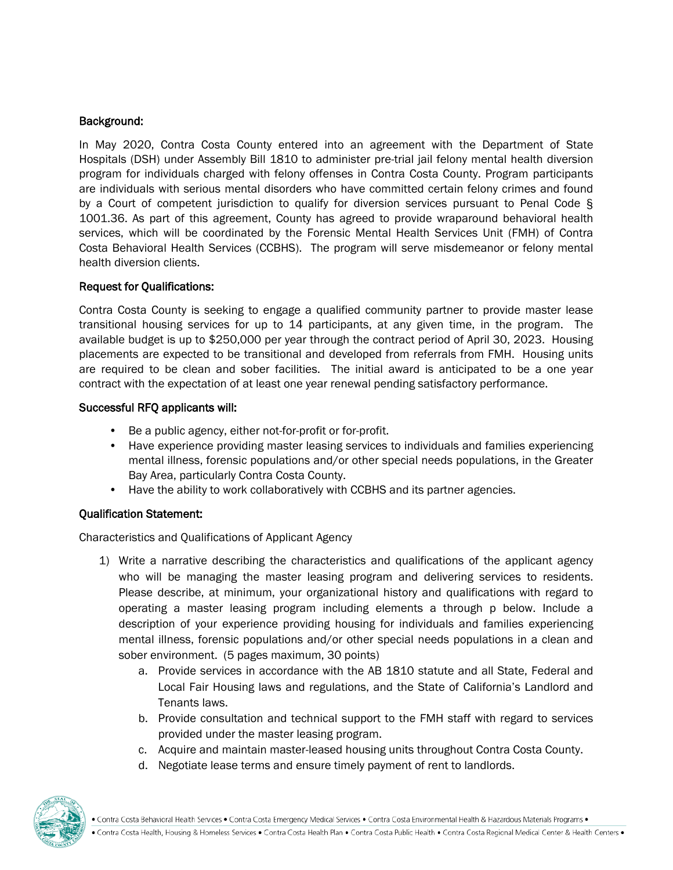### Background:

In May 2020, Contra Costa County entered into an agreement with the Department of State Hospitals (DSH) under Assembly Bill 1810 to administer pre-trial jail felony mental health diversion program for individuals charged with felony offenses in Contra Costa County. Program participants are individuals with serious mental disorders who have committed certain felony crimes and found by a Court of competent jurisdiction to qualify for diversion services pursuant to Penal Code § 1001.36. As part of this agreement, County has agreed to provide wraparound behavioral health services, which will be coordinated by the Forensic Mental Health Services Unit (FMH) of Contra Costa Behavioral Health Services (CCBHS). The program will serve misdemeanor or felony mental health diversion clients.

### Request for Qualifications:

Contra Costa County is seeking to engage a qualified community partner to provide master lease transitional housing services for up to 14 participants, at any given time, in the program. The available budget is up to \$250,000 per year through the contract period of April 30, 2023. Housing placements are expected to be transitional and developed from referrals from FMH. Housing units are required to be clean and sober facilities. The initial award is anticipated to be a one year contract with the expectation of at least one year renewal pending satisfactory performance.

#### Successful RFQ applicants will:

- Be a public agency, either not-for-profit or for-profit.
- Have experience providing master leasing services to individuals and families experiencing mental illness, forensic populations and/or other special needs populations, in the Greater Bay Area, particularly Contra Costa County.
- Have the ability to work collaboratively with CCBHS and its partner agencies.

### Qualification Statement:

Characteristics and Qualifications of Applicant Agency

- 1) Write a narrative describing the characteristics and qualifications of the applicant agency who will be managing the master leasing program and delivering services to residents. Please describe, at minimum, your organizational history and qualifications with regard to operating a master leasing program including elements a through p below. Include a description of your experience providing housing for individuals and families experiencing mental illness, forensic populations and/or other special needs populations in a clean and sober environment. (5 pages maximum, 30 points)
	- a. Provide services in accordance with the AB 1810 statute and all State, Federal and Local Fair Housing laws and regulations, and the State of California's Landlord and Tenants laws.
	- b. Provide consultation and technical support to the FMH staff with regard to services provided under the master leasing program.
	- c. Acquire and maintain master-leased housing units throughout Contra Costa County.
	- d. Negotiate lease terms and ensure timely payment of rent to landlords.

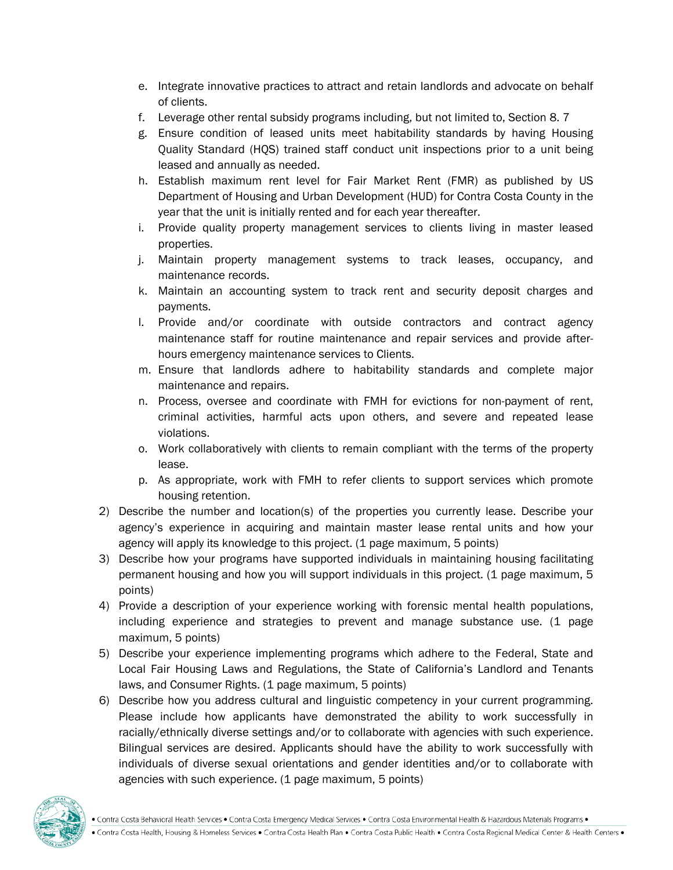- e. Integrate innovative practices to attract and retain landlords and advocate on behalf of clients.
- f. Leverage other rental subsidy programs including, but not limited to, Section 8. 7
- g. Ensure condition of leased units meet habitability standards by having Housing Quality Standard (HQS) trained staff conduct unit inspections prior to a unit being leased and annually as needed.
- h. Establish maximum rent level for Fair Market Rent (FMR) as published by US Department of Housing and Urban Development (HUD) for Contra Costa County in the year that the unit is initially rented and for each year thereafter.
- i. Provide quality property management services to clients living in master leased properties.
- j. Maintain property management systems to track leases, occupancy, and maintenance records.
- k. Maintain an accounting system to track rent and security deposit charges and payments.
- l. Provide and/or coordinate with outside contractors and contract agency maintenance staff for routine maintenance and repair services and provide afterhours emergency maintenance services to Clients.
- m. Ensure that landlords adhere to habitability standards and complete major maintenance and repairs.
- n. Process, oversee and coordinate with FMH for evictions for non-payment of rent, criminal activities, harmful acts upon others, and severe and repeated lease violations.
- o. Work collaboratively with clients to remain compliant with the terms of the property lease.
- p. As appropriate, work with FMH to refer clients to support services which promote housing retention.
- 2) Describe the number and location(s) of the properties you currently lease. Describe your agency's experience in acquiring and maintain master lease rental units and how your agency will apply its knowledge to this project. (1 page maximum, 5 points)
- 3) Describe how your programs have supported individuals in maintaining housing facilitating permanent housing and how you will support individuals in this project. (1 page maximum, 5 points)
- 4) Provide a description of your experience working with forensic mental health populations, including experience and strategies to prevent and manage substance use. (1 page maximum, 5 points)
- 5) Describe your experience implementing programs which adhere to the Federal, State and Local Fair Housing Laws and Regulations, the State of California's Landlord and Tenants laws, and Consumer Rights. (1 page maximum, 5 points)
- 6) Describe how you address cultural and linguistic competency in your current programming. Please include how applicants have demonstrated the ability to work successfully in racially/ethnically diverse settings and/or to collaborate with agencies with such experience. Bilingual services are desired. Applicants should have the ability to work successfully with individuals of diverse sexual orientations and gender identities and/or to collaborate with agencies with such experience. (1 page maximum, 5 points)

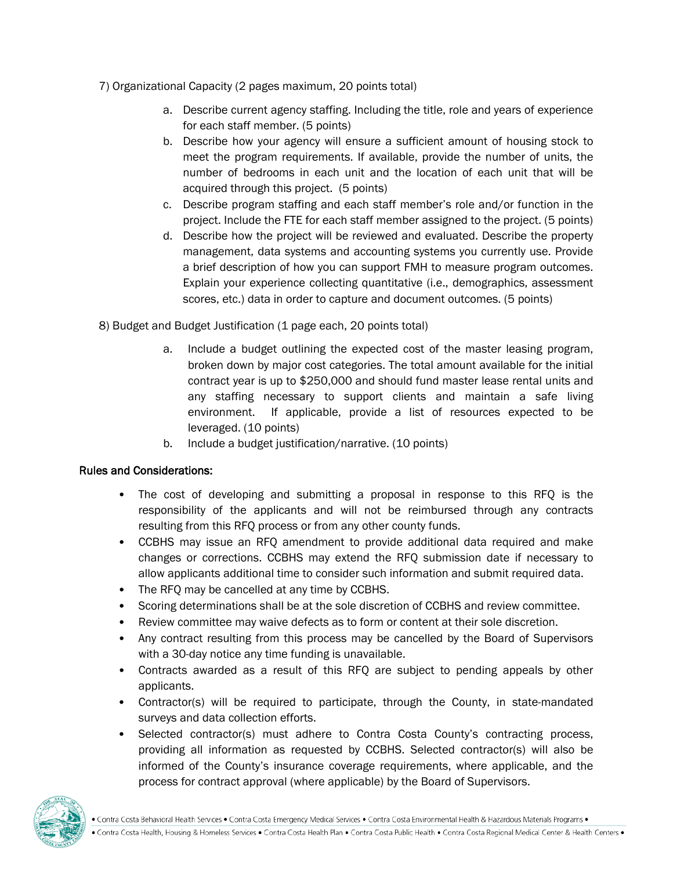- 7) Organizational Capacity (2 pages maximum, 20 points total)
	- a. Describe current agency staffing. Including the title, role and years of experience for each staff member. (5 points)
	- b. Describe how your agency will ensure a sufficient amount of housing stock to meet the program requirements. If available, provide the number of units, the number of bedrooms in each unit and the location of each unit that will be acquired through this project. (5 points)
	- c. Describe program staffing and each staff member's role and/or function in the project. Include the FTE for each staff member assigned to the project. (5 points)
	- d. Describe how the project will be reviewed and evaluated. Describe the property management, data systems and accounting systems you currently use. Provide a brief description of how you can support FMH to measure program outcomes. Explain your experience collecting quantitative (i.e., demographics, assessment scores, etc.) data in order to capture and document outcomes. (5 points)
- 8) Budget and Budget Justification (1 page each, 20 points total)
	- a. Include a budget outlining the expected cost of the master leasing program, broken down by major cost categories. The total amount available for the initial contract year is up to \$250,000 and should fund master lease rental units and any staffing necessary to support clients and maintain a safe living environment. If applicable, provide a list of resources expected to be leveraged. (10 points)
	- b. Include a budget justification/narrative. (10 points)

## Rules and Considerations:

- The cost of developing and submitting a proposal in response to this RFQ is the responsibility of the applicants and will not be reimbursed through any contracts resulting from this RFQ process or from any other county funds.
- CCBHS may issue an RFQ amendment to provide additional data required and make changes or corrections. CCBHS may extend the RFQ submission date if necessary to allow applicants additional time to consider such information and submit required data.
- The RFQ may be cancelled at any time by CCBHS.
- Scoring determinations shall be at the sole discretion of CCBHS and review committee.
- Review committee may waive defects as to form or content at their sole discretion.
- Any contract resulting from this process may be cancelled by the Board of Supervisors with a 30-day notice any time funding is unavailable.
- Contracts awarded as a result of this RFQ are subject to pending appeals by other applicants.
- Contractor(s) will be required to participate, through the County, in state-mandated surveys and data collection efforts.
- Selected contractor(s) must adhere to Contra Costa County's contracting process, providing all information as requested by CCBHS. Selected contractor(s) will also be informed of the County's insurance coverage requirements, where applicable, and the process for contract approval (where applicable) by the Board of Supervisors.